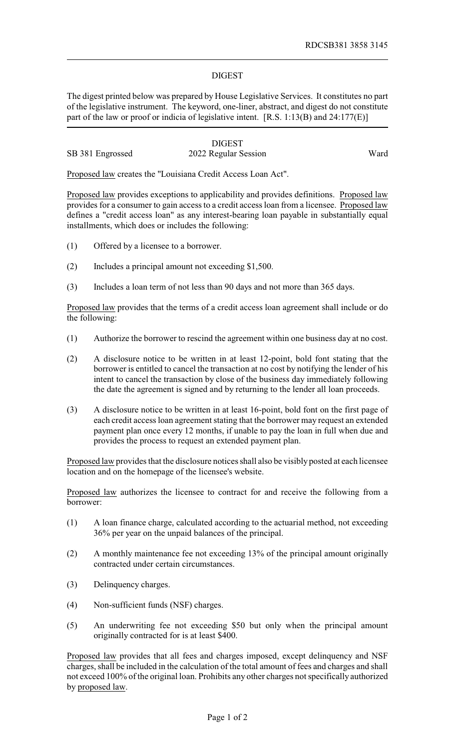## DIGEST

The digest printed below was prepared by House Legislative Services. It constitutes no part of the legislative instrument. The keyword, one-liner, abstract, and digest do not constitute part of the law or proof or indicia of legislative intent. [R.S. 1:13(B) and 24:177(E)]

|                  | <b>DIGEST</b>        |      |
|------------------|----------------------|------|
| SB 381 Engrossed | 2022 Regular Session | Ward |

Proposed law creates the "Louisiana Credit Access Loan Act".

Proposed law provides exceptions to applicability and provides definitions. Proposed law provides for a consumer to gain access to a credit access loan from a licensee. Proposed law defines a "credit access loan" as any interest-bearing loan payable in substantially equal installments, which does or includes the following:

- (1) Offered by a licensee to a borrower.
- (2) Includes a principal amount not exceeding \$1,500.
- (3) Includes a loan term of not less than 90 days and not more than 365 days.

Proposed law provides that the terms of a credit access loan agreement shall include or do the following:

- (1) Authorize the borrower to rescind the agreement within one business day at no cost.
- (2) A disclosure notice to be written in at least 12-point, bold font stating that the borrower is entitled to cancel the transaction at no cost by notifying the lender of his intent to cancel the transaction by close of the business day immediately following the date the agreement is signed and by returning to the lender all loan proceeds.
- (3) A disclosure notice to be written in at least 16-point, bold font on the first page of each credit access loan agreement stating that the borrower may request an extended payment plan once every 12 months, if unable to pay the loan in full when due and provides the process to request an extended payment plan.

Proposed law provides that the disclosure notices shall also be visibly posted at each licensee location and on the homepage of the licensee's website.

Proposed law authorizes the licensee to contract for and receive the following from a borrower:

- (1) A loan finance charge, calculated according to the actuarial method, not exceeding 36% per year on the unpaid balances of the principal.
- (2) A monthly maintenance fee not exceeding 13% of the principal amount originally contracted under certain circumstances.
- (3) Delinquency charges.
- (4) Non-sufficient funds (NSF) charges.
- (5) An underwriting fee not exceeding \$50 but only when the principal amount originally contracted for is at least \$400.

Proposed law provides that all fees and charges imposed, except delinquency and NSF charges, shall be included in the calculation of the total amount of fees and charges and shall not exceed 100% of the original loan. Prohibits any other charges not specifically authorized by proposed law.